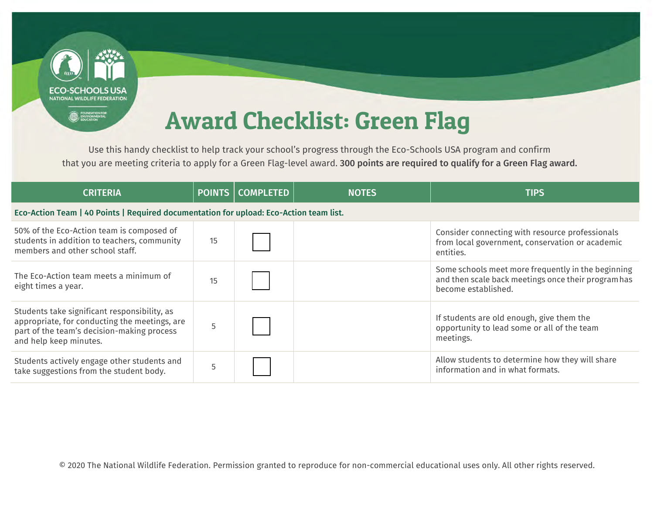

Use this handy checklist to help track your school's progress through the Eco-Schools USA program and confirm that you are meeting criteria to apply for a Green Flag-level award. 300 points are required to qualify for a Green Flag award.

| <b>CRITERIA</b>                                                                                                                                                       | <b>POINTS</b> | <b>COMPLETED</b> | <b>NOTES</b> | <b>TIPS</b>                                                                                                                      |
|-----------------------------------------------------------------------------------------------------------------------------------------------------------------------|---------------|------------------|--------------|----------------------------------------------------------------------------------------------------------------------------------|
| Eco-Action Team   40 Points   Required documentation for upload: Eco-Action team list.                                                                                |               |                  |              |                                                                                                                                  |
| 50% of the Eco-Action team is composed of<br>students in addition to teachers, community<br>members and other school staff.                                           | 15            |                  |              | Consider connecting with resource professionals<br>from local government, conservation or academic<br>entities.                  |
| The Eco-Action team meets a minimum of<br>eight times a year.                                                                                                         | 15            |                  |              | Some schools meet more frequently in the beginning<br>and then scale back meetings once their program has<br>become established. |
| Students take significant responsibility, as<br>appropriate, for conducting the meetings, are<br>part of the team's decision-making process<br>and help keep minutes. |               |                  |              | If students are old enough, give them the<br>opportunity to lead some or all of the team<br>meetings.                            |
| Students actively engage other students and<br>take suggestions from the student body.                                                                                |               |                  |              | Allow students to determine how they will share<br>information and in what formats.                                              |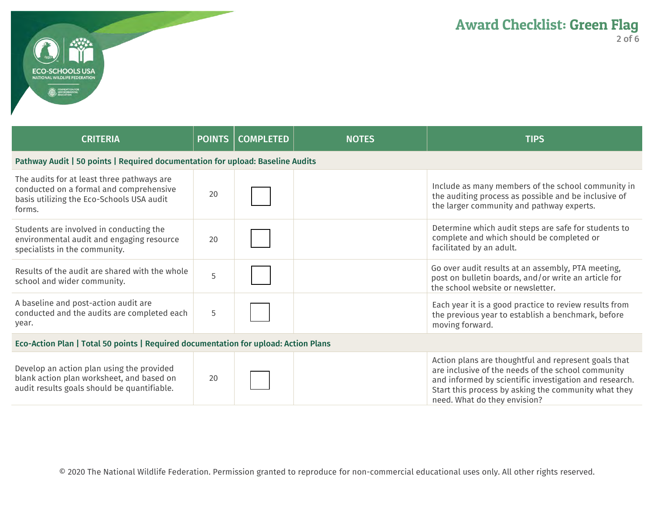

| <b>CRITERIA</b>                                                                                                                              | <b>POINTS</b> | <b>COMPLETED</b> | <b>NOTES</b> | <b>TIPS</b>                                                                                                                                                                                                                                                  |
|----------------------------------------------------------------------------------------------------------------------------------------------|---------------|------------------|--------------|--------------------------------------------------------------------------------------------------------------------------------------------------------------------------------------------------------------------------------------------------------------|
| Pathway Audit   50 points   Required documentation for upload: Baseline Audits                                                               |               |                  |              |                                                                                                                                                                                                                                                              |
| The audits for at least three pathways are<br>conducted on a formal and comprehensive<br>basis utilizing the Eco-Schools USA audit<br>forms. | 20            |                  |              | Include as many members of the school community in<br>the auditing process as possible and be inclusive of<br>the larger community and pathway experts.                                                                                                      |
| Students are involved in conducting the<br>environmental audit and engaging resource<br>specialists in the community.                        | 20            |                  |              | Determine which audit steps are safe for students to<br>complete and which should be completed or<br>facilitated by an adult.                                                                                                                                |
| Results of the audit are shared with the whole<br>school and wider community.                                                                | 5             |                  |              | Go over audit results at an assembly, PTA meeting,<br>post on bulletin boards, and/or write an article for<br>the school website or newsletter.                                                                                                              |
| A baseline and post-action audit are<br>conducted and the audits are completed each<br>year.                                                 | 5             |                  |              | Each year it is a good practice to review results from<br>the previous year to establish a benchmark, before<br>moving forward.                                                                                                                              |
| Eco-Action Plan   Total 50 points   Required documentation for upload: Action Plans                                                          |               |                  |              |                                                                                                                                                                                                                                                              |
| Develop an action plan using the provided<br>blank action plan worksheet, and based on<br>audit results goals should be quantifiable.        | 20            |                  |              | Action plans are thoughtful and represent goals that<br>are inclusive of the needs of the school community<br>and informed by scientific investigation and research.<br>Start this process by asking the community what they<br>need. What do they envision? |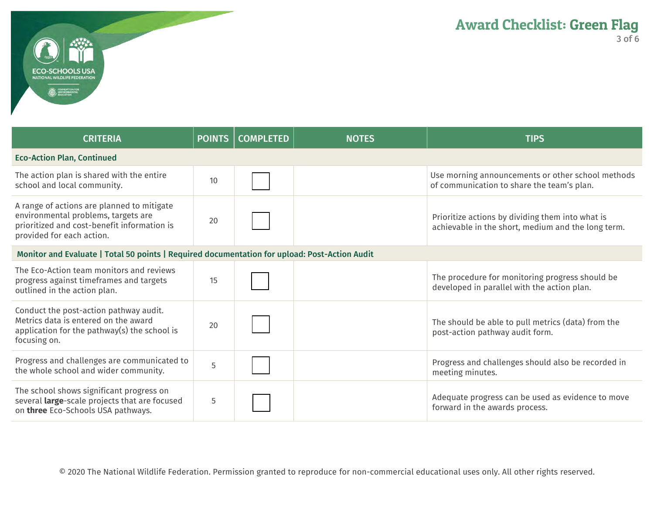

| <b>CRITERIA</b>                                                                                                                                               | <b>POINTS</b> | <b>COMPLETED</b> | <b>NOTES</b> | <b>TIPS</b>                                                                                            |
|---------------------------------------------------------------------------------------------------------------------------------------------------------------|---------------|------------------|--------------|--------------------------------------------------------------------------------------------------------|
| <b>Eco-Action Plan, Continued</b>                                                                                                                             |               |                  |              |                                                                                                        |
| The action plan is shared with the entire<br>school and local community.                                                                                      | 10            |                  |              | Use morning announcements or other school methods<br>of communication to share the team's plan.        |
| A range of actions are planned to mitigate<br>environmental problems, targets are<br>prioritized and cost-benefit information is<br>provided for each action. | 20            |                  |              | Prioritize actions by dividing them into what is<br>achievable in the short, medium and the long term. |
| Monitor and Evaluate   Total 50 points   Required documentation for upload: Post-Action Audit                                                                 |               |                  |              |                                                                                                        |
| The Eco-Action team monitors and reviews<br>progress against timeframes and targets<br>outlined in the action plan.                                           | 15            |                  |              | The procedure for monitoring progress should be<br>developed in parallel with the action plan.         |
| Conduct the post-action pathway audit.<br>Metrics data is entered on the award<br>application for the pathway(s) the school is<br>focusing on.                | 20            |                  |              | The should be able to pull metrics (data) from the<br>post-action pathway audit form.                  |
| Progress and challenges are communicated to<br>the whole school and wider community.                                                                          | 5             |                  |              | Progress and challenges should also be recorded in<br>meeting minutes.                                 |
| The school shows significant progress on<br>several large-scale projects that are focused<br>on three Eco-Schools USA pathways.                               | 5             |                  |              | Adequate progress can be used as evidence to move<br>forward in the awards process.                    |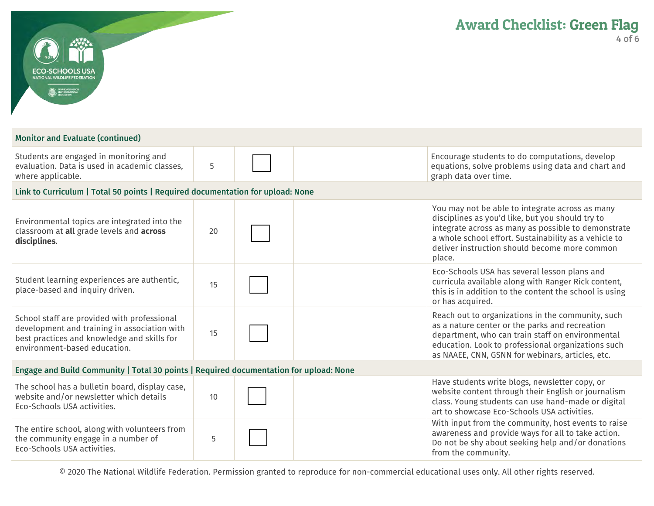| ECO-SCHOOLS USA<br><b>IONAL WILDLIFE FEDERATION</b><br><b>ED</b> ENVIRONMENTAL                                                                                             |    | <b>Award Checklist: Green Flag</b><br>4 of                                                                                                                                                                                                                                     |
|----------------------------------------------------------------------------------------------------------------------------------------------------------------------------|----|--------------------------------------------------------------------------------------------------------------------------------------------------------------------------------------------------------------------------------------------------------------------------------|
| <b>Monitor and Evaluate (continued)</b>                                                                                                                                    |    |                                                                                                                                                                                                                                                                                |
| Students are engaged in monitoring and<br>evaluation. Data is used in academic classes,<br>where applicable.                                                               | 5  | Encourage students to do computations, develop<br>equations, solve problems using data and chart and<br>graph data over time.                                                                                                                                                  |
| Link to Curriculum   Total 50 points   Required documentation for upload: None                                                                                             |    |                                                                                                                                                                                                                                                                                |
| Environmental topics are integrated into the<br>classroom at all grade levels and across<br>disciplines.                                                                   | 20 | You may not be able to integrate across as many<br>disciplines as you'd like, but you should try to<br>integrate across as many as possible to demonstrate<br>a whole school effort. Sustainability as a vehicle to<br>deliver instruction should become more common<br>place. |
| Student learning experiences are authentic,<br>place-based and inquiry driven.                                                                                             | 15 | Eco-Schools USA has several lesson plans and<br>curricula available along with Ranger Rick content,<br>this is in addition to the content the school is using<br>or has acquired.                                                                                              |
| School staff are provided with professional<br>development and training in association with<br>best practices and knowledge and skills for<br>environment-based education. | 15 | Reach out to organizations in the community, such<br>as a nature center or the parks and recreation<br>department, who can train staff on environmental<br>education. Look to professional organizations such<br>as NAAEE, CNN, GSNN for webinars, articles, etc.              |
| Engage and Build Community   Total 30 points   Required documentation for upload: None                                                                                     |    |                                                                                                                                                                                                                                                                                |
| The school has a bulletin board, display case,<br>website and/or newsletter which details<br>Eco-Schools USA activities.                                                   | 10 | Have students write blogs, newsletter copy, or<br>website content through their English or journalism<br>class. Young students can use hand-made or digital<br>art to showcase Eco-Schools USA activities.                                                                     |
| The entire school, along with volunteers from<br>the community engage in a number of<br>Eco-Schools USA activities.                                                        | 5  | With input from the community, host events to raise<br>awareness and provide ways for all to take action.<br>Do not be shy about seeking help and/or donations<br>from the community.                                                                                          |

© 2020 The National Wildlife Federation. Permission granted to reproduce for non-commercial educational uses only. All other rights reserved.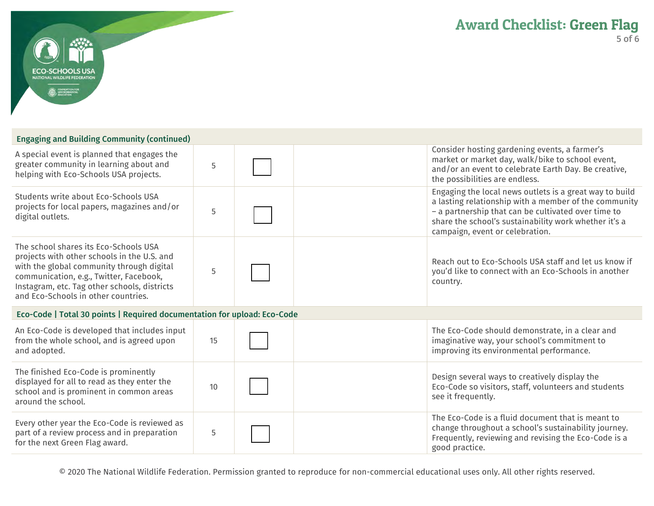

## Engaging and Building Community (continued)

| A special event is planned that engages the<br>greater community in learning about and<br>helping with Eco-Schools USA projects.                                                                                                                                    | 5  | Consider hosting gardening events, a farmer's<br>market or market day, walk/bike to school event,<br>and/or an event to celebrate Earth Day. Be creative,<br>the possibilities are endless.                                                                         |
|---------------------------------------------------------------------------------------------------------------------------------------------------------------------------------------------------------------------------------------------------------------------|----|---------------------------------------------------------------------------------------------------------------------------------------------------------------------------------------------------------------------------------------------------------------------|
| Students write about Eco-Schools USA<br>projects for local papers, magazines and/or<br>digital outlets.                                                                                                                                                             | 5  | Engaging the local news outlets is a great way to build<br>a lasting relationship with a member of the community<br>- a partnership that can be cultivated over time to<br>share the school's sustainability work whether it's a<br>campaign, event or celebration. |
| The school shares its Eco-Schools USA<br>projects with other schools in the U.S. and<br>with the global community through digital<br>communication, e.g., Twitter, Facebook,<br>Instagram, etc. Tag other schools, districts<br>and Eco-Schools in other countries. | 5  | Reach out to Eco-Schools USA staff and let us know if<br>you'd like to connect with an Eco-Schools in another<br>country.                                                                                                                                           |
| Eco-Code   Total 30 points   Required documentation for upload: Eco-Code                                                                                                                                                                                            |    |                                                                                                                                                                                                                                                                     |
| An Eco-Code is developed that includes input<br>from the whole school, and is agreed upon<br>and adopted.                                                                                                                                                           | 15 | The Eco-Code should demonstrate, in a clear and<br>imaginative way, your school's commitment to<br>improving its environmental performance.                                                                                                                         |
| The finished Eco-Code is prominently<br>displayed for all to read as they enter the<br>school and is prominent in common areas<br>around the school.                                                                                                                | 10 | Design several ways to creatively display the<br>Eco-Code so visitors, staff, volunteers and students<br>see it frequently.                                                                                                                                         |
| Every other year the Eco-Code is reviewed as<br>part of a review process and in preparation<br>for the next Green Flag award.                                                                                                                                       | 5  | The Eco-Code is a fluid document that is meant to<br>change throughout a school's sustainability journey.<br>Frequently, reviewing and revising the Eco-Code is a<br>good practice.                                                                                 |

© 2020 The National Wildlife Federation. Permission granted to reproduce for non-commercial educational uses only. All other rights reserved.